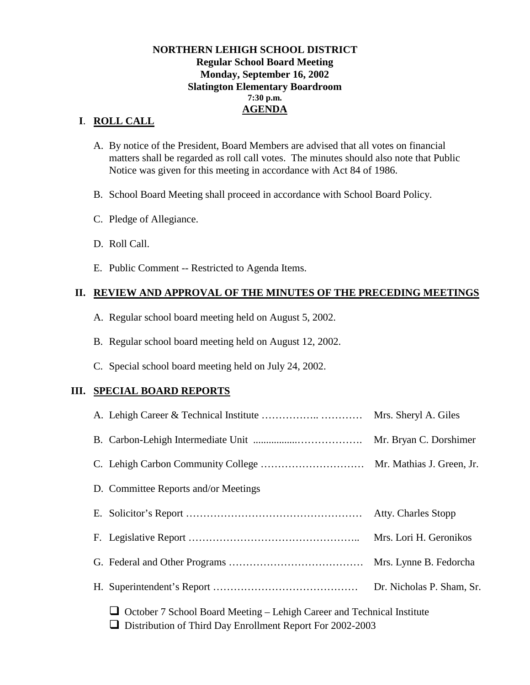### **NORTHERN LEHIGH SCHOOL DISTRICT Regular School Board Meeting Monday, September 16, 2002 Slatington Elementary Boardroom 7:30 p.m. AGENDA**

### **I**. **ROLL CALL**

- A. By notice of the President, Board Members are advised that all votes on financial matters shall be regarded as roll call votes. The minutes should also note that Public Notice was given for this meeting in accordance with Act 84 of 1986.
- B. School Board Meeting shall proceed in accordance with School Board Policy.
- C. Pledge of Allegiance.
- D. Roll Call.
- E. Public Comment -- Restricted to Agenda Items.

### **II. REVIEW AND APPROVAL OF THE MINUTES OF THE PRECEDING MEETINGS**

- A. Regular school board meeting held on August 5, 2002.
- B. Regular school board meeting held on August 12, 2002.
- C. Special school board meeting held on July 24, 2002.

### **III. SPECIAL BOARD REPORTS**

|                                                                                                                                            | Mrs. Sheryl A. Giles      |
|--------------------------------------------------------------------------------------------------------------------------------------------|---------------------------|
|                                                                                                                                            | Mr. Bryan C. Dorshimer    |
|                                                                                                                                            |                           |
| D. Committee Reports and/or Meetings                                                                                                       |                           |
|                                                                                                                                            | Atty. Charles Stopp       |
|                                                                                                                                            |                           |
|                                                                                                                                            |                           |
|                                                                                                                                            | Dr. Nicholas P. Sham, Sr. |
| $\Box$ October 7 School Board Meeting – Lehigh Career and Technical Institute<br>Distribution of Third Day Enrollment Report For 2002-2003 |                           |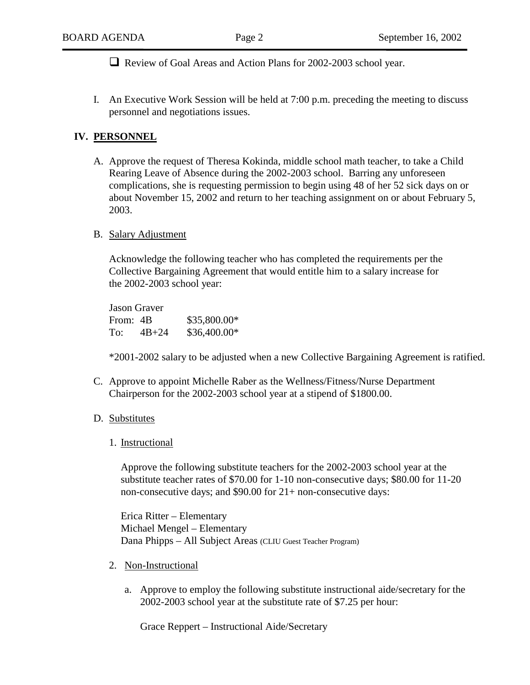! Review of Goal Areas and Action Plans for 2002-2003 school year.

I. An Executive Work Session will be held at 7:00 p.m. preceding the meeting to discuss personnel and negotiations issues.

#### **IV. PERSONNEL**

- A. Approve the request of Theresa Kokinda, middle school math teacher, to take a Child Rearing Leave of Absence during the 2002-2003 school. Barring any unforeseen complications, she is requesting permission to begin using 48 of her 52 sick days on or about November 15, 2002 and return to her teaching assignment on or about February 5, 2003.
- B. Salary Adjustment

Acknowledge the following teacher who has completed the requirements per the Collective Bargaining Agreement that would entitle him to a salary increase for the 2002-2003 school year:

| Jason Graver |           |              |  |
|--------------|-----------|--------------|--|
| From: 4B     |           | \$35,800.00* |  |
| To:          | $4B + 24$ | \$36,400.00* |  |

\*2001-2002 salary to be adjusted when a new Collective Bargaining Agreement is ratified.

C. Approve to appoint Michelle Raber as the Wellness/Fitness/Nurse Department Chairperson for the 2002-2003 school year at a stipend of \$1800.00.

#### D. Substitutes

1. Instructional

Approve the following substitute teachers for the 2002-2003 school year at the substitute teacher rates of \$70.00 for 1-10 non-consecutive days; \$80.00 for 11-20 non-consecutive days; and \$90.00 for 21+ non-consecutive days:

 Erica Ritter – Elementary Michael Mengel – Elementary Dana Phipps – All Subject Areas (CLIU Guest Teacher Program)

- 2. Non-Instructional
	- a. Approve to employ the following substitute instructional aide/secretary for the 2002-2003 school year at the substitute rate of \$7.25 per hour:

Grace Reppert – Instructional Aide/Secretary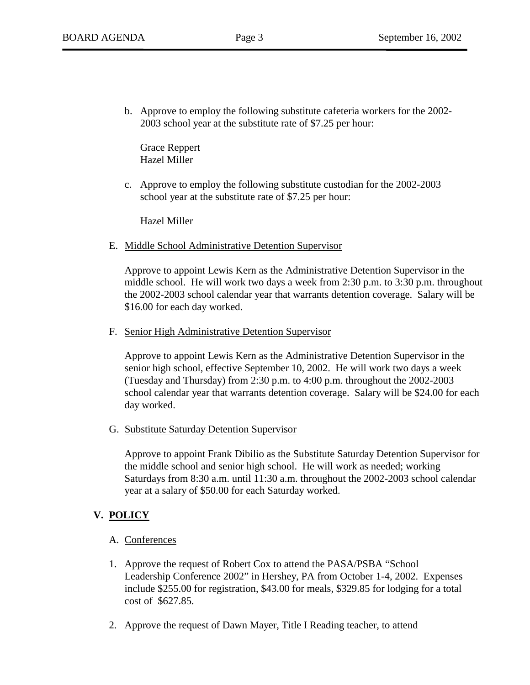b. Approve to employ the following substitute cafeteria workers for the 2002- 2003 school year at the substitute rate of \$7.25 per hour:

Grace Reppert Hazel Miller

c. Approve to employ the following substitute custodian for the 2002-2003 school year at the substitute rate of \$7.25 per hour:

Hazel Miller

E. Middle School Administrative Detention Supervisor

Approve to appoint Lewis Kern as the Administrative Detention Supervisor in the middle school. He will work two days a week from 2:30 p.m. to 3:30 p.m. throughout the 2002-2003 school calendar year that warrants detention coverage. Salary will be \$16.00 for each day worked.

F. Senior High Administrative Detention Supervisor

Approve to appoint Lewis Kern as the Administrative Detention Supervisor in the senior high school, effective September 10, 2002. He will work two days a week (Tuesday and Thursday) from 2:30 p.m. to 4:00 p.m. throughout the 2002-2003 school calendar year that warrants detention coverage. Salary will be \$24.00 for each day worked.

G. Substitute Saturday Detention Supervisor

Approve to appoint Frank Dibilio as the Substitute Saturday Detention Supervisor for the middle school and senior high school. He will work as needed; working Saturdays from 8:30 a.m. until 11:30 a.m. throughout the 2002-2003 school calendar year at a salary of \$50.00 for each Saturday worked.

## **V. POLICY**

- A. Conferences
- 1. Approve the request of Robert Cox to attend the PASA/PSBA "School Leadership Conference 2002" in Hershey, PA from October 1-4, 2002. Expenses include \$255.00 for registration, \$43.00 for meals, \$329.85 for lodging for a total cost of \$627.85.
- 2. Approve the request of Dawn Mayer, Title I Reading teacher, to attend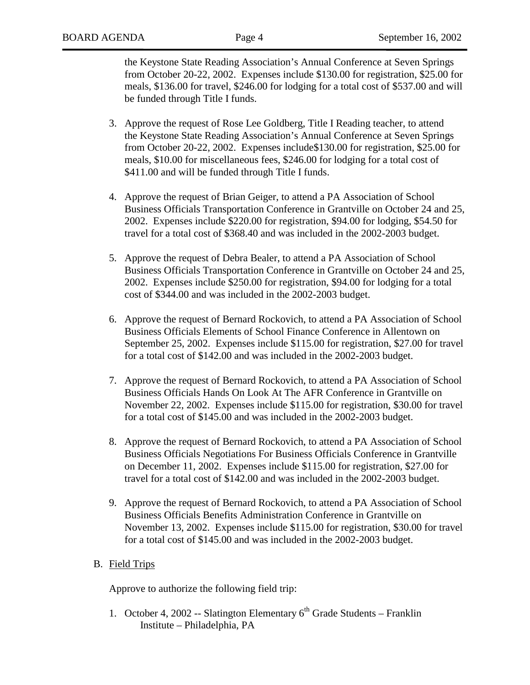the Keystone State Reading Association's Annual Conference at Seven Springs from October 20-22, 2002. Expenses include \$130.00 for registration, \$25.00 for meals, \$136.00 for travel, \$246.00 for lodging for a total cost of \$537.00 and will be funded through Title I funds.

- 3. Approve the request of Rose Lee Goldberg, Title I Reading teacher, to attend the Keystone State Reading Association's Annual Conference at Seven Springs from October 20-22, 2002. Expenses include\$130.00 for registration, \$25.00 for meals, \$10.00 for miscellaneous fees, \$246.00 for lodging for a total cost of \$411.00 and will be funded through Title I funds.
- 4. Approve the request of Brian Geiger, to attend a PA Association of School Business Officials Transportation Conference in Grantville on October 24 and 25, 2002. Expenses include \$220.00 for registration, \$94.00 for lodging, \$54.50 for travel for a total cost of \$368.40 and was included in the 2002-2003 budget.
- 5. Approve the request of Debra Bealer, to attend a PA Association of School Business Officials Transportation Conference in Grantville on October 24 and 25, 2002. Expenses include \$250.00 for registration, \$94.00 for lodging for a total cost of \$344.00 and was included in the 2002-2003 budget.
- 6. Approve the request of Bernard Rockovich, to attend a PA Association of School Business Officials Elements of School Finance Conference in Allentown on September 25, 2002. Expenses include \$115.00 for registration, \$27.00 for travel for a total cost of \$142.00 and was included in the 2002-2003 budget.
- 7. Approve the request of Bernard Rockovich, to attend a PA Association of School Business Officials Hands On Look At The AFR Conference in Grantville on November 22, 2002. Expenses include \$115.00 for registration, \$30.00 for travel for a total cost of \$145.00 and was included in the 2002-2003 budget.
- 8. Approve the request of Bernard Rockovich, to attend a PA Association of School Business Officials Negotiations For Business Officials Conference in Grantville on December 11, 2002. Expenses include \$115.00 for registration, \$27.00 for travel for a total cost of \$142.00 and was included in the 2002-2003 budget.
- 9. Approve the request of Bernard Rockovich, to attend a PA Association of School Business Officials Benefits Administration Conference in Grantville on November 13, 2002. Expenses include \$115.00 for registration, \$30.00 for travel for a total cost of \$145.00 and was included in the 2002-2003 budget.

### B. Field Trips

Approve to authorize the following field trip:

1. October 4, 2002 -- Slatington Elementary  $6<sup>th</sup>$  Grade Students – Franklin Institute – Philadelphia, PA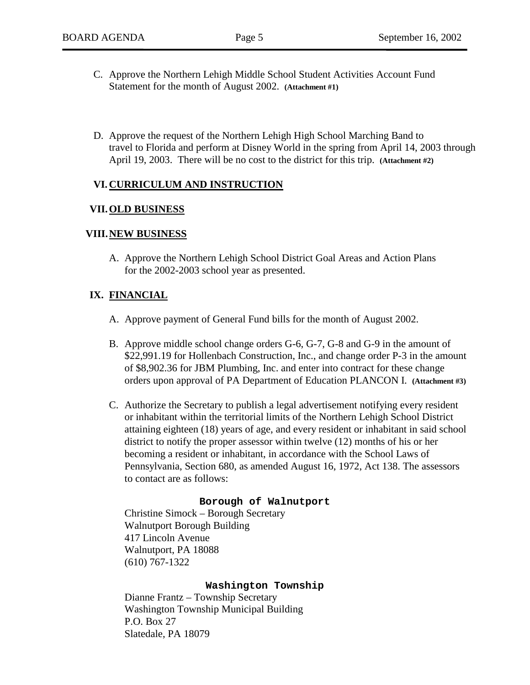- C. Approve the Northern Lehigh Middle School Student Activities Account Fund Statement for the month of August 2002. **(Attachment #1)**
- D. Approve the request of the Northern Lehigh High School Marching Band to travel to Florida and perform at Disney World in the spring from April 14, 2003 through April 19, 2003. There will be no cost to the district for this trip. **(Attachment #2)**

### **VI. CURRICULUM AND INSTRUCTION**

#### **VII. OLD BUSINESS**

#### **VIII. NEW BUSINESS**

A. Approve the Northern Lehigh School District Goal Areas and Action Plans for the 2002-2003 school year as presented.

### **IX. FINANCIAL**

- A. Approve payment of General Fund bills for the month of August 2002.
- B. Approve middle school change orders G-6, G-7, G-8 and G-9 in the amount of \$22,991.19 for Hollenbach Construction, Inc., and change order P-3 in the amount of \$8,902.36 for JBM Plumbing, Inc. and enter into contract for these change orders upon approval of PA Department of Education PLANCON I. **(Attachment #3)**
- C. Authorize the Secretary to publish a legal advertisement notifying every resident or inhabitant within the territorial limits of the Northern Lehigh School District attaining eighteen (18) years of age, and every resident or inhabitant in said school district to notify the proper assessor within twelve (12) months of his or her becoming a resident or inhabitant, in accordance with the School Laws of Pennsylvania, Section 680, as amended August 16, 1972, Act 138. The assessors to contact are as follows:

#### **Borough of Walnutport**

 Christine Simock – Borough Secretary Walnutport Borough Building 417 Lincoln Avenue Walnutport, PA 18088 (610) 767-1322

#### **Washington Township**

 Dianne Frantz – Township Secretary Washington Township Municipal Building P.O. Box 27 Slatedale, PA 18079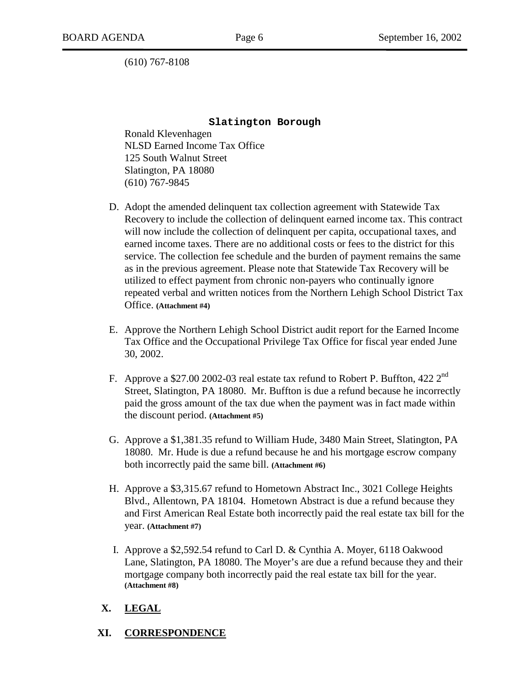(610) 767-8108

#### **Slatington Borough**

 Ronald Klevenhagen NLSD Earned Income Tax Office 125 South Walnut Street Slatington, PA 18080 (610) 767-9845

- D. Adopt the amended delinquent tax collection agreement with Statewide Tax Recovery to include the collection of delinquent earned income tax. This contract will now include the collection of delinquent per capita, occupational taxes, and earned income taxes. There are no additional costs or fees to the district for this service. The collection fee schedule and the burden of payment remains the same as in the previous agreement. Please note that Statewide Tax Recovery will be utilized to effect payment from chronic non-payers who continually ignore repeated verbal and written notices from the Northern Lehigh School District Tax Office. **(Attachment #4)**
- E. Approve the Northern Lehigh School District audit report for the Earned Income Tax Office and the Occupational Privilege Tax Office for fiscal year ended June 30, 2002.
- F. Approve a \$27.00 2002-03 real estate tax refund to Robert P. Buffton, 422 2<sup>nd</sup> Street, Slatington, PA 18080. Mr. Buffton is due a refund because he incorrectly paid the gross amount of the tax due when the payment was in fact made within the discount period. **(Attachment #5)**
- G. Approve a \$1,381.35 refund to William Hude, 3480 Main Street, Slatington, PA 18080. Mr. Hude is due a refund because he and his mortgage escrow company both incorrectly paid the same bill. **(Attachment #6)**
- H. Approve a \$3,315.67 refund to Hometown Abstract Inc., 3021 College Heights Blvd., Allentown, PA 18104. Hometown Abstract is due a refund because they and First American Real Estate both incorrectly paid the real estate tax bill for the year. **(Attachment #7)**
- I. Approve a \$2,592.54 refund to Carl D. & Cynthia A. Moyer, 6118 Oakwood Lane, Slatington, PA 18080. The Moyer's are due a refund because they and their mortgage company both incorrectly paid the real estate tax bill for the year. **(Attachment #8)**

## **X. LEGAL**

### **XI. CORRESPONDENCE**